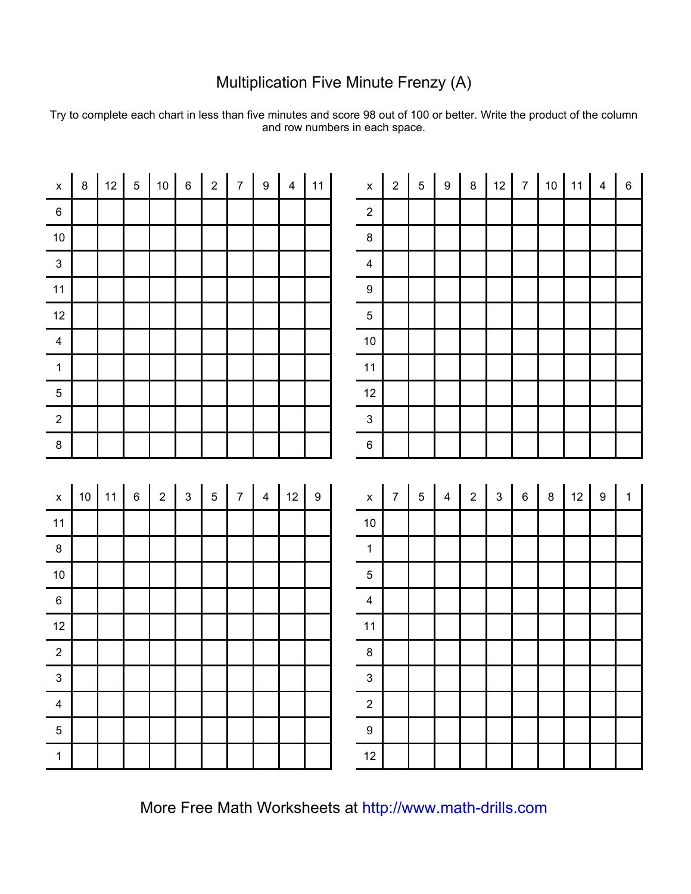## Multiplication Five Minute Frenzy (A)

Try to complete each chart in less than five minutes and score 98 out of 100 or better. Write the product of the column and row numbers in each space.

| $\mathsf{X}$              | $8\phantom{.}$          | 12 | 5   10 | 6 <sup>1</sup> | $\overline{2}$ | 7 <sup>1</sup> | $9 \mid 4 \mid 11 \mid$ |  | $\mathsf X$                           | 2 <sup>1</sup> | $5\phantom{.0}$ | $9\,$    | $\boldsymbol{8}$ |                         |                 | $12$ 7 10 11   |    | $\overline{4}$   | $\,6\,$        |
|---------------------------|-------------------------|----|--------|----------------|----------------|----------------|-------------------------|--|---------------------------------------|----------------|-----------------|----------|------------------|-------------------------|-----------------|----------------|----|------------------|----------------|
| $6\phantom{.0}$           |                         |    |        |                |                |                |                         |  | $\overline{2}$                        |                |                 |          |                  |                         |                 |                |    |                  |                |
| $\frac{1}{10}$            |                         |    |        |                |                |                |                         |  | $\overline{8}$                        |                |                 |          |                  |                         |                 |                |    |                  |                |
| $\overline{\phantom{0}3}$ |                         |    |        |                |                |                |                         |  | $\overline{4}$                        |                |                 |          |                  |                         |                 |                |    |                  |                |
| $11$                      |                         |    |        |                |                |                |                         |  | 9                                     |                |                 |          |                  |                         |                 |                |    |                  |                |
| $\frac{12}{12}$           |                         |    |        |                |                |                |                         |  | $\overline{5}$                        |                |                 |          |                  |                         |                 |                |    |                  |                |
| $\frac{1}{4}$             |                         |    |        |                |                |                |                         |  | 10                                    |                |                 |          |                  |                         |                 |                |    |                  |                |
| $\overline{1}$            |                         |    |        |                |                |                |                         |  | 11                                    |                |                 |          |                  |                         |                 |                |    |                  |                |
| $5\phantom{.0}$           |                         |    |        |                |                |                |                         |  | 12                                    |                |                 |          |                  |                         |                 |                |    |                  |                |
| $\overline{2}$            |                         |    |        |                |                |                |                         |  | $\mathbf{3}$                          |                |                 |          |                  |                         |                 |                |    |                  |                |
| $\,$ 8                    |                         |    |        |                |                |                |                         |  | $6\overline{6}$                       |                |                 |          |                  |                         |                 |                |    |                  |                |
|                           |                         |    |        |                |                |                |                         |  |                                       |                |                 |          |                  |                         |                 |                |    |                  |                |
|                           |                         |    |        |                |                |                |                         |  |                                       |                |                 |          |                  |                         |                 |                |    |                  |                |
|                           | x   10   11   6   2   3 |    |        |                | 5 <sup>1</sup> |                | $7$   4   12   9        |  | $\begin{array}{c} x \\ - \end{array}$ |                | $7 \mid 5 \mid$ | $4 \mid$ | 2                | $\overline{\mathbf{3}}$ | $6\overline{6}$ | 8 <sup>1</sup> | 12 | $\boldsymbol{9}$ | $\overline{1}$ |
|                           |                         |    |        |                |                |                |                         |  | 10                                    |                |                 |          |                  |                         |                 |                |    |                  |                |
| $\frac{11}{8}$            |                         |    |        |                |                |                |                         |  | $\overline{1}$                        |                |                 |          |                  |                         |                 |                |    |                  |                |
| $\frac{1}{10}$            |                         |    |        |                |                |                |                         |  | $\overline{5}$                        |                |                 |          |                  |                         |                 |                |    |                  |                |
| $\frac{1}{6}$             |                         |    |        |                |                |                |                         |  | $\frac{1}{4}$                         |                |                 |          |                  |                         |                 |                |    |                  |                |
| 12                        |                         |    |        |                |                |                |                         |  | $11$                                  |                |                 |          |                  |                         |                 |                |    |                  |                |
| $\overline{2}$            |                         |    |        |                |                |                |                         |  | $\boldsymbol{8}$                      |                |                 |          |                  |                         |                 |                |    |                  |                |
| $\overline{\phantom{a}3}$ |                         |    |        |                |                |                |                         |  | $\frac{1}{3}$                         |                |                 |          |                  |                         |                 |                |    |                  |                |
| $\overline{4}$            |                         |    |        |                |                |                |                         |  | $\overline{2}$                        |                |                 |          |                  |                         |                 |                |    |                  |                |
| $\overline{5}$            |                         |    |        |                |                |                |                         |  | $\boldsymbol{9}$                      |                |                 |          |                  |                         |                 |                |    |                  |                |

More Free Math Worksheets at [http://www.math-drills.com](http://www.math-drills.com/)